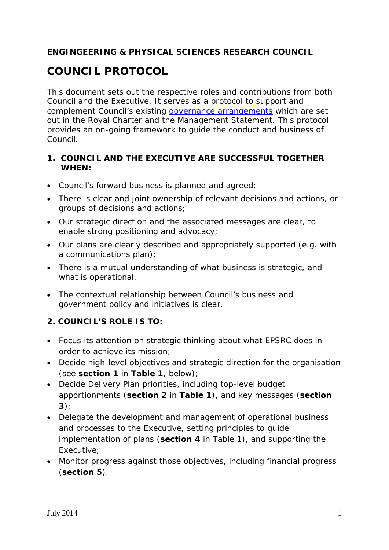### **ENGINGEERING & PHYSICAL SCIENCES RESEARCH COUNCIL**

# **COUNCIL PROTOCOL**

This document sets out the respective roles and contributions from both Council and the Executive. It serves as a protocol to support and complement Council's existing [governance arrangements](http://www.epsrc.ac.uk/about/governance/governancemanual/) which are set out in the Royal Charter and the Management Statement. This protocol provides an on-going framework to guide the conduct and business of Council.

#### **1. COUNCIL AND THE EXECUTIVE ARE SUCCESSFUL TOGETHER WHEN:**

- Council's forward business is planned and agreed;
- There is clear and joint ownership of relevant decisions and actions, or groups of decisions and actions;
- Our strategic direction and the associated messages are clear, to enable strong positioning and advocacy;
- Our plans are clearly described and appropriately supported (e.g. with a communications plan);
- There is a mutual understanding of what business is strategic, and what is operational.
- The contextual relationship between Council's business and government policy and initiatives is clear.

#### **2. COUNCIL'S ROLE IS TO:**

- Focus its attention on strategic thinking about what EPSRC does in order to achieve its mission;
- Decide high-level objectives and strategic direction for the organisation (see **section 1** in *Table 1*, below);
- Decide Delivery Plan priorities, including top-level budget apportionments (**section 2** in *Table 1*), and key messages (**section 3**);
- Delegate the development and management of operational business and processes to the Executive, setting principles to guide implementation of plans (**section 4** in *Table 1*), and supporting the Executive;
- Monitor progress against those objectives, including financial progress (**section 5**).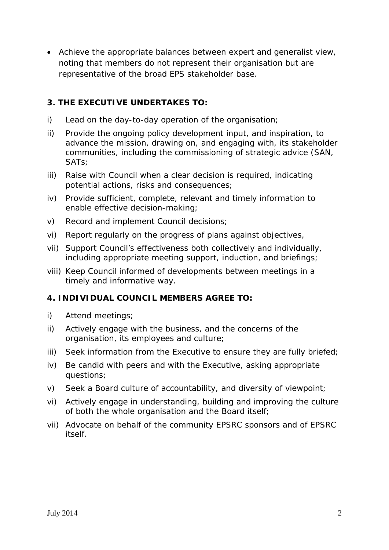• Achieve the appropriate balances between expert and generalist view, noting that members do not represent their organisation but are representative of the broad EPS stakeholder base.

#### **3. THE EXECUTIVE UNDERTAKES TO:**

- i) Lead on the day-to-day operation of the organisation;
- ii) Provide the ongoing policy development input, and inspiration, to advance the mission, drawing on, and engaging with, its stakeholder communities, including the commissioning of strategic advice (SAN, SATs;
- iii) Raise with Council when a clear decision is required, indicating potential actions, risks and consequences;
- iv) Provide sufficient, complete, relevant and timely information to enable effective decision-making;
- v) Record and implement Council decisions;
- vi) Report regularly on the progress of plans against objectives,
- vii) Support Council's effectiveness both collectively and individually, including appropriate meeting support, induction, and briefings;
- viii) Keep Council informed of developments between meetings in a timely and informative way.

#### **4. INDIVIDUAL COUNCIL MEMBERS AGREE TO:**

- i) Attend meetings;
- ii) Actively engage with the business, and the concerns of the organisation, its employees and culture;
- iii) Seek information from the Executive to ensure they are fully briefed;
- iv) Be candid with peers and with the Executive, asking appropriate questions;
- v) Seek a Board culture of accountability, and diversity of viewpoint;
- vi) Actively engage in understanding, building and improving the culture of both the whole organisation and the Board itself;
- vii) Advocate on behalf of the community EPSRC sponsors and of EPSRC itself.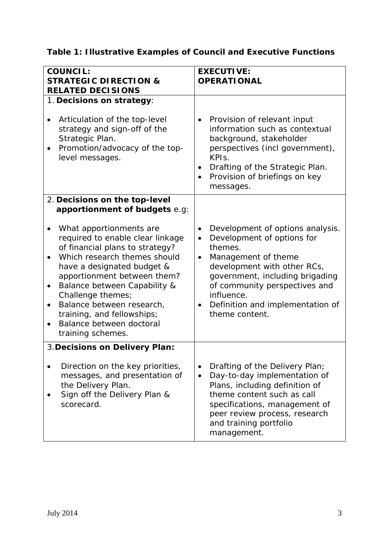## **Table 1: Illustrative Examples of Council and Executive Functions**

| <b>COUNCIL:</b><br><b>STRATEGIC DIRECTION &amp;</b><br><b>RELATED DECISIONS</b>                                                                                                                                                                                                                                                                                                                                                                          | <b>EXECUTIVE:</b><br><b>OPERATIONAL</b>                                                                                                                                                                                                                                                                                     |
|----------------------------------------------------------------------------------------------------------------------------------------------------------------------------------------------------------------------------------------------------------------------------------------------------------------------------------------------------------------------------------------------------------------------------------------------------------|-----------------------------------------------------------------------------------------------------------------------------------------------------------------------------------------------------------------------------------------------------------------------------------------------------------------------------|
| 1. Decisions on strategy:<br>Articulation of the top-level<br>strategy and sign-off of the<br>Strategic Plan.<br>Promotion/advocacy of the top-<br>level messages.                                                                                                                                                                                                                                                                                       | Provision of relevant input<br>$\bullet$<br>information such as contextual<br>background, stakeholder<br>perspectives (incl government),<br>KPI <sub>s</sub> .<br>Drafting of the Strategic Plan.<br>$\bullet$<br>Provision of briefings on key<br>messages.                                                                |
| 2. Decisions on the top-level<br>apportionment of budgets e.g:<br>What apportionments are<br>required to enable clear linkage<br>of financial plans to strategy?<br>Which research themes should<br>have a designated budget &<br>apportionment between them?<br>Balance between Capability &<br>$\bullet$<br>Challenge themes;<br>Balance between research,<br>$\bullet$<br>training, and fellowships;<br>Balance between doctoral<br>training schemes. | Development of options analysis.<br>$\bullet$<br>Development of options for<br>$\bullet$<br>themes.<br>Management of theme<br>$\bullet$<br>development with other RCs,<br>government, including brigading<br>of community perspectives and<br>influence.<br>Definition and implementation of<br>$\bullet$<br>theme content. |
| 3. Decisions on Delivery Plan:<br>Direction on the key priorities,<br>messages, and presentation of<br>the Delivery Plan.<br>Sign off the Delivery Plan &<br>scorecard.                                                                                                                                                                                                                                                                                  | Drafting of the Delivery Plan;<br>Day-to-day implementation of<br>Plans, including definition of<br>theme content such as call<br>specifications, management of<br>peer review process, research<br>and training portfolio<br>management.                                                                                   |